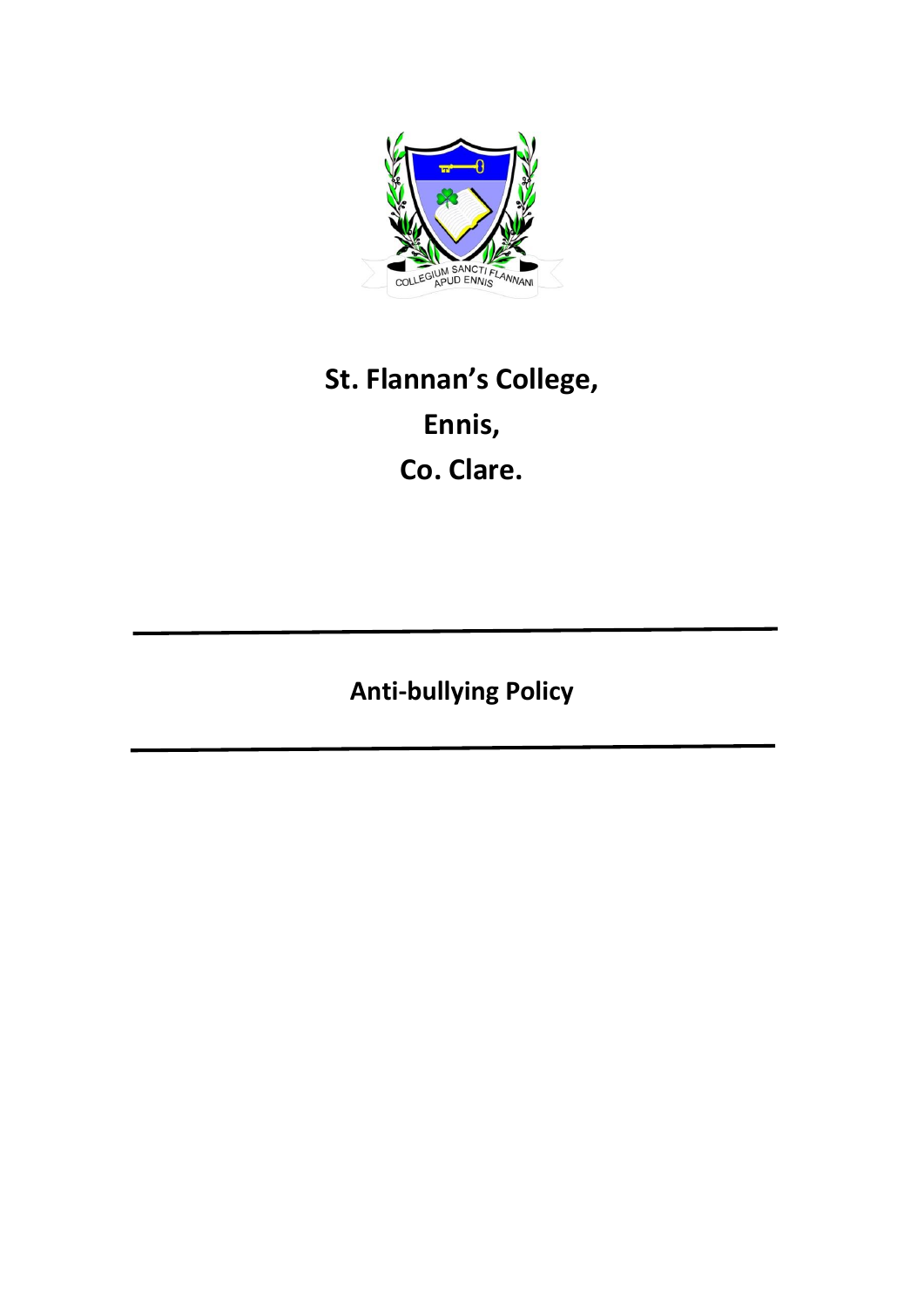

# **St. Flannan's College, Ennis, Co. Clare.**

**Anti-bullying Policy**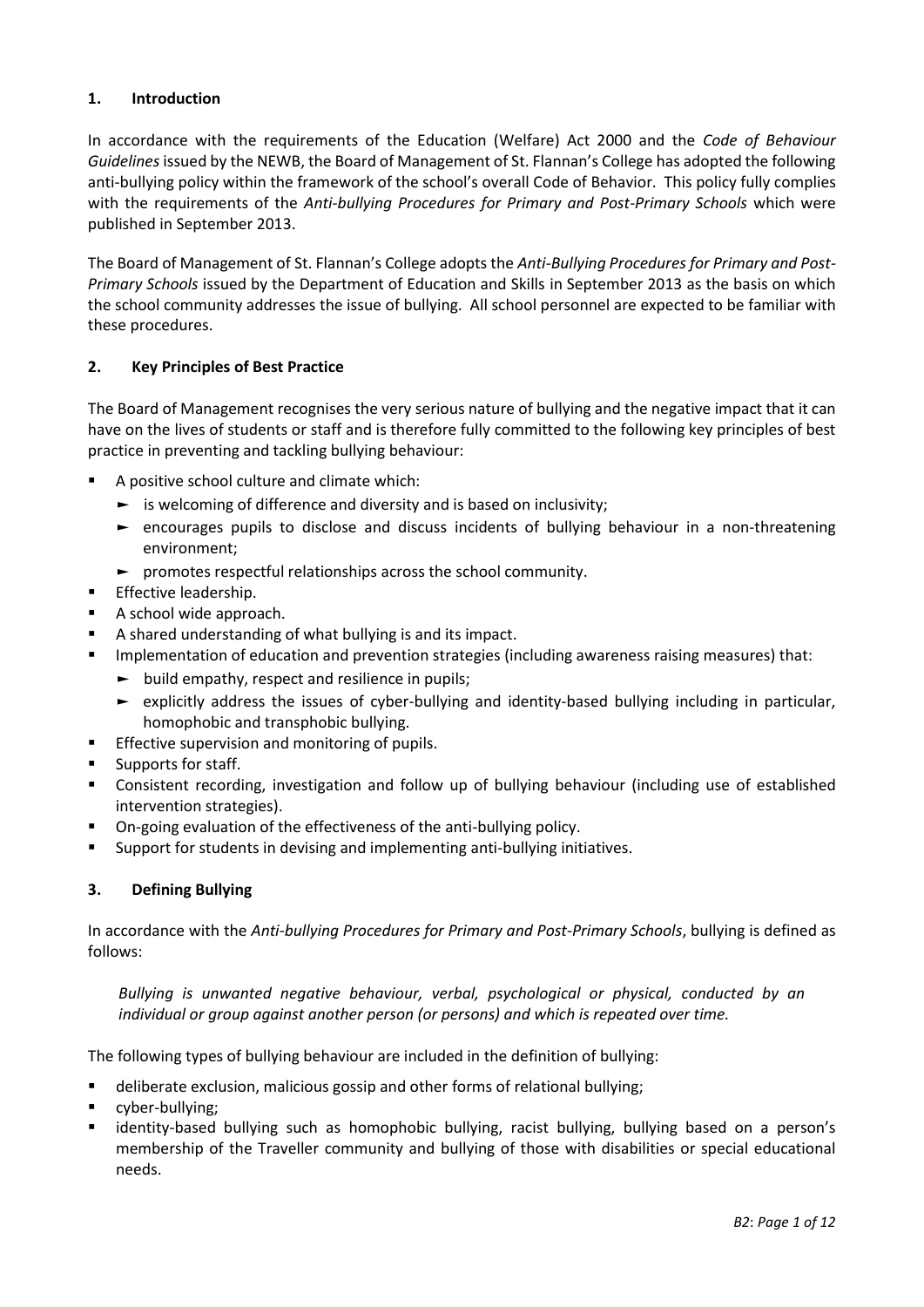## **1. Introduction**

In accordance with the requirements of the Education (Welfare) Act 2000 and the *Code of Behaviour Guidelines* issued by the NEWB, the Board of Management of St. Flannan's College has adopted the following anti-bullying policy within the framework of the school's overall Code of Behavior. This policy fully complies with the requirements of the *Anti-bullying Procedures for Primary and Post-Primary Schools* which were published in September 2013.

The Board of Management of St. Flannan's College adopts the *[Anti-Bullying Procedures for Primary and Post-](http://www.education.ie/en/Publications/Policy-Reports/Anti-Bullying-Procedures-for-Primary-and-Post-Primary-Schools.pdf)[Primary Schools](http://www.education.ie/en/Publications/Policy-Reports/Anti-Bullying-Procedures-for-Primary-and-Post-Primary-Schools.pdf)* issued by the Department of Education and Skills in September 2013 as the basis on which the school community addresses the issue of bullying. All school personnel are expected to be familiar with these procedures.

#### **2. Key Principles of Best Practice**

The Board of Management recognises the very serious nature of bullying and the negative impact that it can have on the lives of students or staff and is therefore fully committed to the following key principles of best practice in preventing and tackling bullying behaviour:

- A positive school culture and climate which:
	- $\blacktriangleright$  is welcoming of difference and diversity and is based on inclusivity;
	- ► encourages pupils to disclose and discuss incidents of bullying behaviour in a non-threatening environment;
	- ► promotes respectful relationships across the school community.
- **Effective leadership.**
- A school wide approach.
- A shared understanding of what bullying is and its impact.
- **IMPLEM** Implementation of education and prevention strategies (including awareness raising measures) that:
	- ► build empathy, respect and resilience in pupils;
	- ► explicitly address the issues of cyber-bullying and identity-based bullying including in particular, homophobic and transphobic bullying.
- **Effective supervision and monitoring of pupils.**
- **Supports for staff.**
- Consistent recording, investigation and follow up of bullying behaviour (including use of established intervention strategies).
- On-going evaluation of the effectiveness of the anti-bullying policy.
- Support for students in devising and implementing anti-bullying initiatives.

#### **3. Defining Bullying**

In accordance with the *Anti-bullying Procedures for Primary and Post-Primary Schools*, bullying is defined as follows:

*Bullying is unwanted negative behaviour, verbal, psychological or physical, conducted by an individual or group against another person (or persons) and which is repeated over time.* 

The following types of bullying behaviour are included in the definition of bullying:

- deliberate exclusion, malicious gossip and other forms of relational bullying;
- cyber-bullying;
- identity-based bullying such as homophobic bullying, racist bullying, bullying based on a person's membership of the Traveller community and bullying of those with disabilities or special educational needs.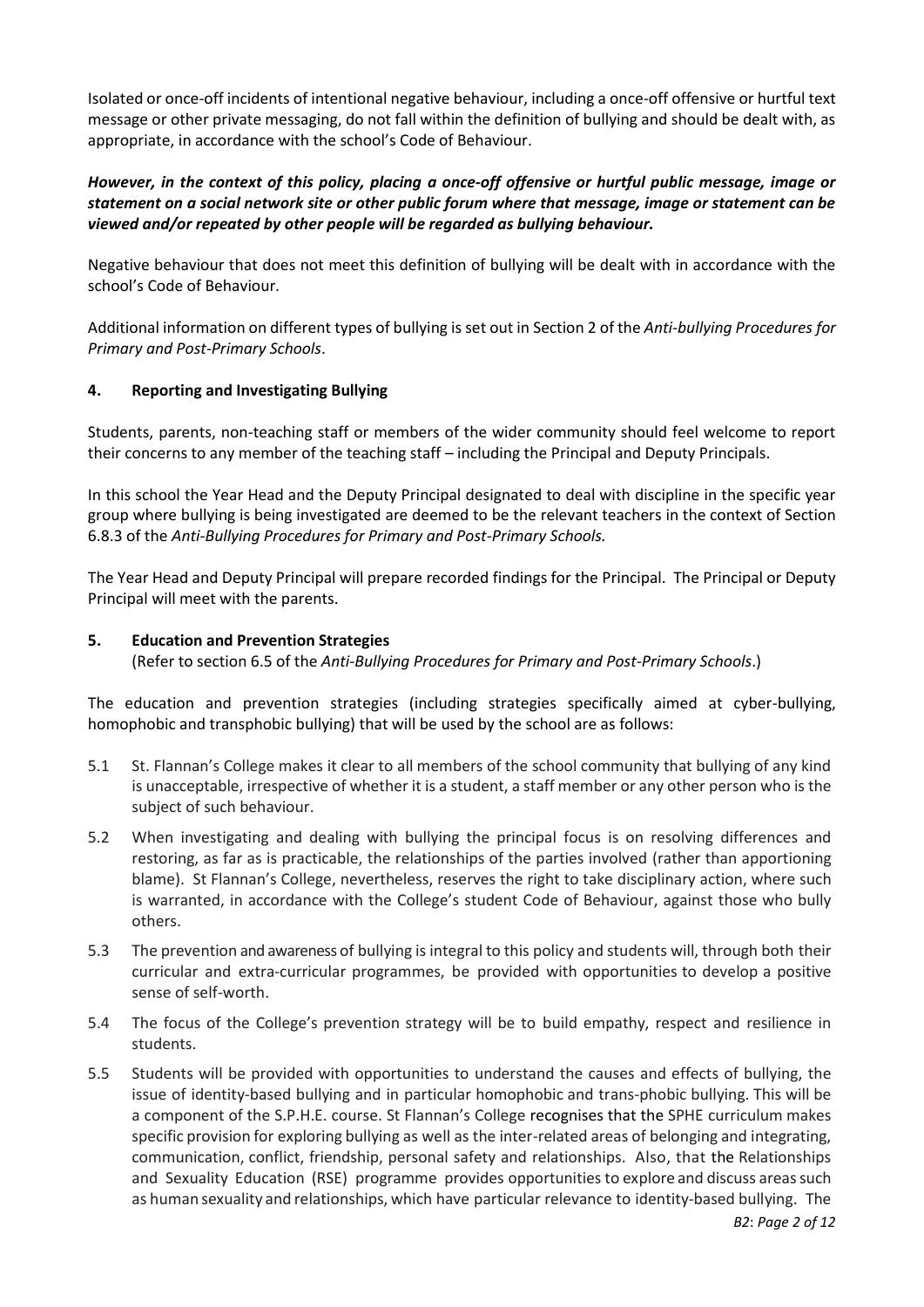Isolated or once-off incidents of intentional negative behaviour, including a once-off offensive or hurtful text message or other private messaging, do not fall within the definition of bullying and should be dealt with, as appropriate, in accordance with the school's Code of Behaviour.

## *However, in the context of this policy, placing a once-off offensive or hurtful public message, image or statement on a social network site or other public forum where that message, image or statement can be viewed and/or repeated by other people will be regarded as bullying behaviour.*

Negative behaviour that does not meet this definition of bullying will be dealt with in accordance with the school's Code of Behaviour.

Additional information on different types of bullying is set out in Section 2 of the *Anti-bullying Procedures for Primary and Post-Primary Schools*.

## **4. Reporting and Investigating Bullying**

Students, parents, non-teaching staff or members of the wider community should feel welcome to report their concerns to any member of the teaching staff – including the Principal and Deputy Principals.

In this school the Year Head and the Deputy Principal designated to deal with discipline in the specific year group where bullying is being investigated are deemed to be the relevant teachers in the context of Section 6.8.3 of the *[Anti-Bullying Procedures for Primary and Post-Primary Schools.](http://www.education.ie/en/Publications/Policy-Reports/Anti-Bullying-Procedures-for-Primary-and-Post-Primary-Schools.pdf)*

The Year Head and Deputy Principal will prepare recorded findings for the Principal. The Principal or Deputy Principal will meet with the parents.

## **5. Education and Prevention Strategies**

(Refer to section 6.5 of the *Anti-Bullying Procedures for Primary and Post-Primary Schools*.)

The education and prevention strategies (including strategies specifically aimed at cyber-bullying, homophobic and transphobic bullying) that will be used by the school are as follows:

- 5.1 St. Flannan's College makes it clear to all members of the school community that bullying of any kind is unacceptable, irrespective of whether it is a student, a staff member or any other person who is the subject of such behaviour.
- 5.2 When investigating and dealing with bullying the principal focus is on resolving differences and restoring, as far as is practicable, the relationships of the parties involved (rather than apportioning blame). St Flannan's College, nevertheless, reserves the right to take disciplinary action, where such is warranted, in accordance with the College's student Code of Behaviour, against those who bully others.
- 5.3 The prevention and awareness of bullying is integral to this policy and students will, through both their curricular and extra-curricular programmes, be provided with opportunities to develop a positive sense of self-worth.
- 5.4 The focus of the College's prevention strategy will be to build empathy, respect and resilience in students.
- 5.5 Students will be provided with opportunities to understand the causes and effects of bullying, the issue of identity-based bullying and in particular homophobic and trans-phobic bullying. This will be a component of the S.P.H.E. course. St Flannan's College recognises that the SPHE curriculum makes specific provision for exploring bullying as well as the inter-related areas of belonging and integrating, communication, conflict, friendship, personal safety and relationships. Also, that the Relationships and Sexuality Education (RSE) programme provides opportunities to explore and discuss areassuch as human sexuality and relationships, which have particular relevance to identity-based bullying. The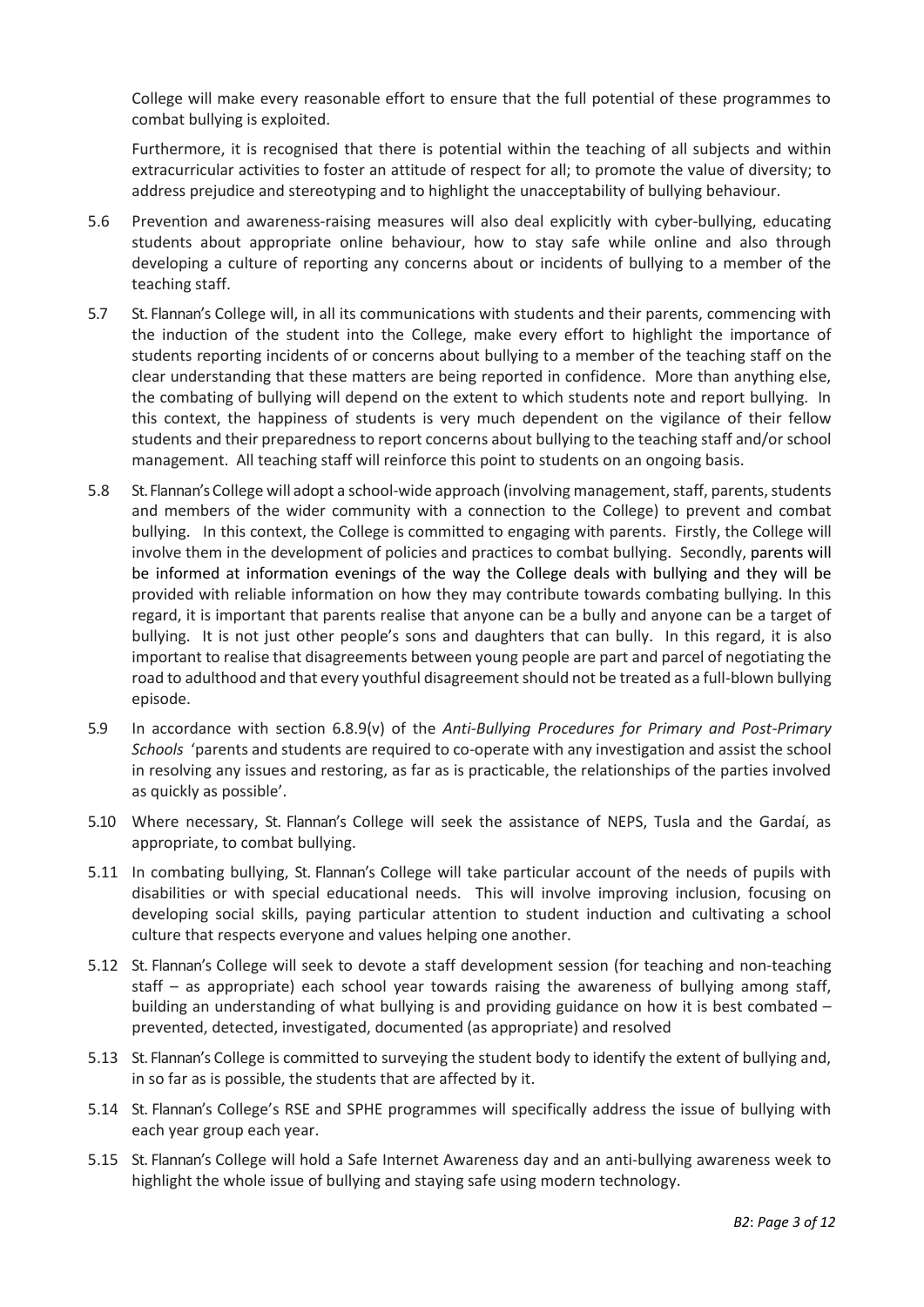College will make every reasonable effort to ensure that the full potential of these programmes to combat bullying is exploited.

Furthermore, it is recognised that there is potential within the teaching of all subjects and within extracurricular activities to foster an attitude of respect for all; to promote the value of diversity; to address prejudice and stereotyping and to highlight the unacceptability of bullying behaviour.

- 5.6 Prevention and awareness-raising measures will also deal explicitly with cyber-bullying, educating students about appropriate online behaviour, how to stay safe while online and also through developing a culture of reporting any concerns about or incidents of bullying to a member of the teaching staff.
- 5.7 St. Flannan's College will, in all its communications with students and their parents, commencing with the induction of the student into the College, make every effort to highlight the importance of students reporting incidents of or concerns about bullying to a member of the teaching staff on the clear understanding that these matters are being reported in confidence. More than anything else, the combating of bullying will depend on the extent to which students note and report bullying. In this context, the happiness of students is very much dependent on the vigilance of their fellow students and their preparedness to report concerns about bullying to the teaching staff and/or school management. All teaching staff will reinforce this point to students on an ongoing basis.
- 5.8 St. Flannan'sCollege will adopt a school-wide approach (involving management, staff, parents, students and members of the wider community with a connection to the College) to prevent and combat bullying. In this context, the College is committed to engaging with parents. Firstly, the College will involve them in the development of policies and practices to combat bullying. Secondly, parents will be informed at information evenings of the way the College deals with bullying and they will be provided with reliable information on how they may contribute towards combating bullying. In this regard, it is important that parents realise that anyone can be a bully and anyone can be a target of bullying. It is not just other people's sons and daughters that can bully. In this regard, it is also important to realise that disagreements between young people are part and parcel of negotiating the road to adulthood and that every youthful disagreement should not be treated as a full-blown bullying episode.
- 5.9 In accordance with section 6.8.9(v) of the *[Anti-Bullying Procedures for Primary and Post-Primary](http://www.education.ie/en/Publications/Policy-Reports/Anti-Bullying-Procedures-for-Primary-and-Post-Primary-Schools.pdf)  [Schools](http://www.education.ie/en/Publications/Policy-Reports/Anti-Bullying-Procedures-for-Primary-and-Post-Primary-Schools.pdf)* 'parents and students are required to co-operate with any investigation and assist the school in resolving any issues and restoring, as far as is practicable, the relationships of the parties involved as quickly as possible'.
- 5.10 Where necessary, St. Flannan's College will seek the assistance of NEPS, Tusla and the Gardaí, as appropriate, to combat bullying.
- 5.11 In combating bullying, St. Flannan's College will take particular account of the needs of pupils with disabilities or with special educational needs. This will involve improving inclusion, focusing on developing social skills, paying particular attention to student induction and cultivating a school culture that respects everyone and values helping one another.
- 5.12 St. Flannan's College will seek to devote a staff development session (for teaching and non-teaching staff – as appropriate) each school year towards raising the awareness of bullying among staff, building an understanding of what bullying is and providing guidance on how it is best combated – prevented, detected, investigated, documented (as appropriate) and resolved
- 5.13 St. Flannan's College is committed to surveying the student body to identify the extent of bullying and, in so far as is possible, the students that are affected by it.
- 5.14 St. Flannan's College's RSE and SPHE programmes will specifically address the issue of bullying with each year group each year.
- 5.15 St. Flannan's College will hold a Safe Internet Awareness day and an anti-bullying awareness week to highlight the whole issue of bullying and staying safe using modern technology.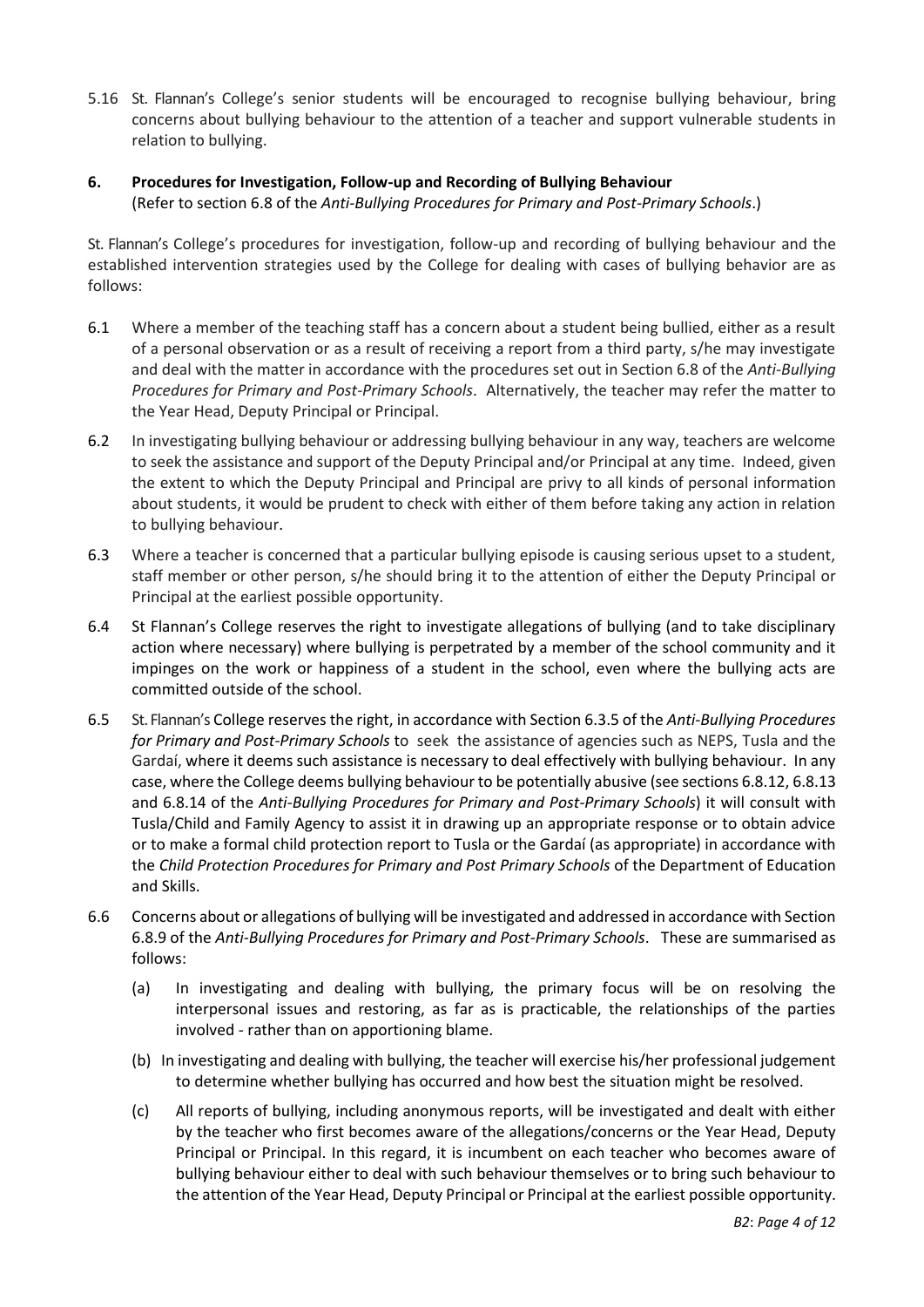- 5.16 St. Flannan's College's senior students will be encouraged to recognise bullying behaviour, bring concerns about bullying behaviour to the attention of a teacher and support vulnerable students in relation to bullying.
- **6. Procedures for Investigation, Follow-up and Recording of Bullying Behaviour** (Refer to section 6.8 of the *Anti-Bullying Procedures for Primary and Post-Primary Schools*.)

St. Flannan's College's procedures for investigation, follow-up and recording of bullying behaviour and the established intervention strategies used by the College for dealing with cases of bullying behavior are as follows:

- 6.1 Where a member of the teaching staff has a concern about a student being bullied, either as a result of a personal observation or as a result of receiving a report from a third party, s/he may investigate and deal with the matter in accordance with the procedures set out in Section 6.8 of the *[Anti-Bullying](http://www.education.ie/en/Publications/Policy-Reports/Anti-Bullying-Procedures-for-Primary-and-Post-Primary-Schools.pdf)  [Procedures for Primary and Post-Primary Schools](http://www.education.ie/en/Publications/Policy-Reports/Anti-Bullying-Procedures-for-Primary-and-Post-Primary-Schools.pdf)*. Alternatively, the teacher may refer the matter to the Year Head, Deputy Principal or Principal.
- 6.2 In investigating bullying behaviour or addressing bullying behaviour in any way, teachers are welcome to seek the assistance and support of the Deputy Principal and/or Principal at any time. Indeed, given the extent to which the Deputy Principal and Principal are privy to all kinds of personal information about students, it would be prudent to check with either of them before taking any action in relation to bullying behaviour.
- 6.3 Where a teacher is concerned that a particular bullying episode is causing serious upset to a student, staff member or other person, s/he should bring it to the attention of either the Deputy Principal or Principal at the earliest possible opportunity.
- 6.4 St Flannan's College reserves the right to investigate allegations of bullying (and to take disciplinary action where necessary) where bullying is perpetrated by a member of the school community and it impinges on the work or happiness of a student in the school, even where the bullying acts are committed outside of the school.
- 6.5 St. Flannan's College reserves the right, in accordance with Section 6.3.5 of the *Anti-Bullying Procedures for Primary and Post-Primary Schools* to seek the assistance of agencies such as NEPS, Tusla and the Gardaí, where it deems such assistance is necessary to deal effectively with bullying behaviour. In any case, where the College deems bullying behaviour to be potentially abusive (see sections 6.8.12, 6.8.13 and 6.8.14 of the *Anti-Bullying Procedures for Primary and Post-Primary Schools*) it will consult with Tusla/Child and Family Agency to assist it in drawing up an appropriate response or to obtain advice or to make a formal child protection report to Tusla or the Gardaí (as appropriate) in accordance with the *[Child Protection Procedures for Primary and Post Primary Schools](http://www.education.ie/en/Schools-Colleges/Information/Child-Protection/cp_procedures_primary_post_primary_2011.pdf)* of the Department of Education and Skills.
- 6.6 Concerns about or allegations of bullying will be investigated and addressed in accordance with Section 6.8.9 of the *[Anti-Bullying Procedures for Primary and Post-Primary Schools](http://www.education.ie/en/Publications/Policy-Reports/Anti-Bullying-Procedures-for-Primary-and-Post-Primary-Schools.pdf)*. These are summarised as follows:
	- (a) In investigating and dealing with bullying, the primary focus will be on resolving the interpersonal issues and restoring, as far as is practicable, the relationships of the parties involved - rather than on apportioning blame.
	- (b) In investigating and dealing with bullying, the teacher will exercise his/her professional judgement to determine whether bullying has occurred and how best the situation might be resolved.
	- (c) All reports of bullying, including anonymous reports, will be investigated and dealt with either by the teacher who first becomes aware of the allegations/concerns or the Year Head, Deputy Principal or Principal. In this regard, it is incumbent on each teacher who becomes aware of bullying behaviour either to deal with such behaviour themselves or to bring such behaviour to the attention of the Year Head, Deputy Principal or Principal at the earliest possible opportunity.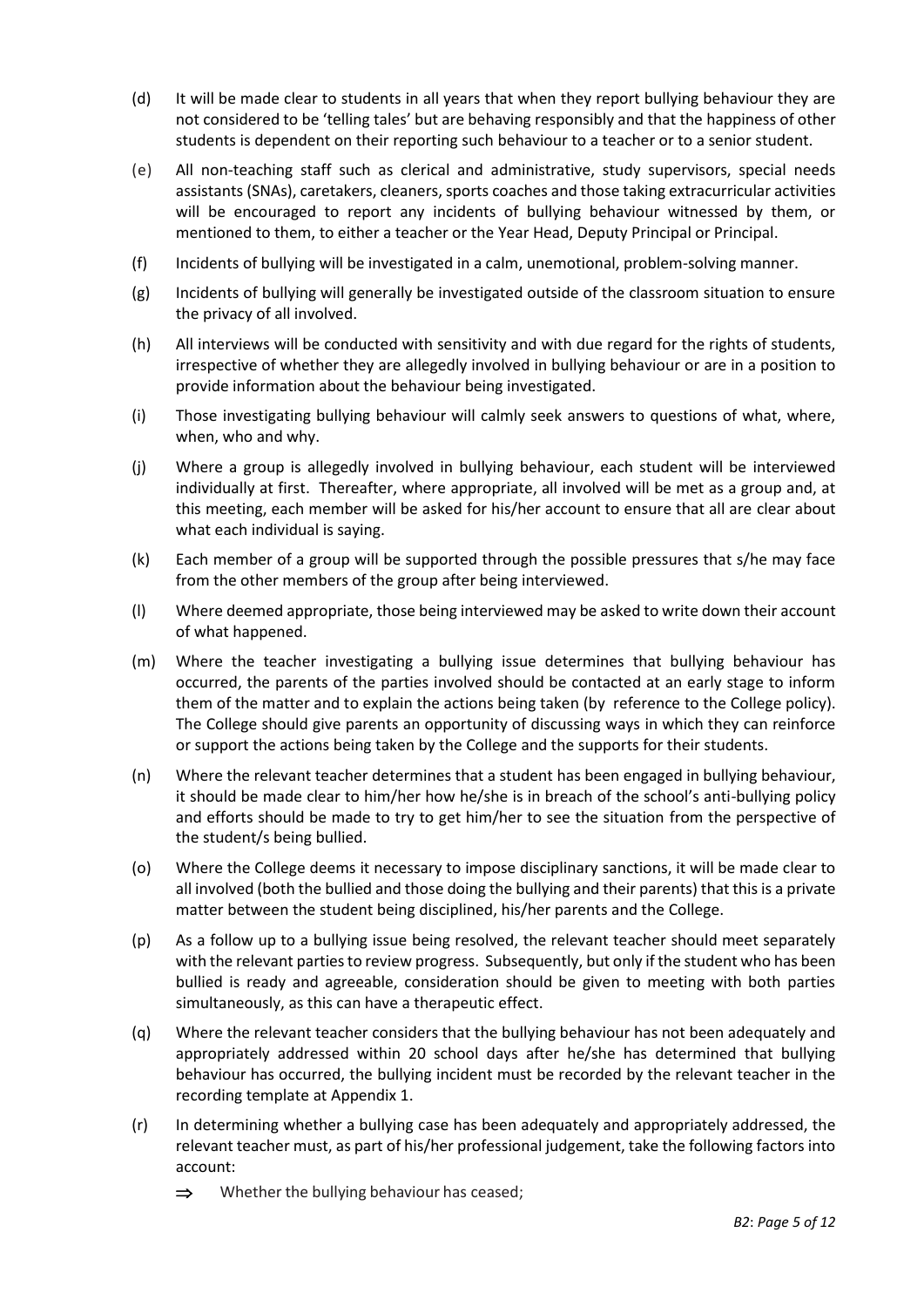- (d) It will be made clear to students in all years that when they report bullying behaviour they are not considered to be 'telling tales' but are behaving responsibly and that the happiness of other students is dependent on their reporting such behaviour to a teacher or to a senior student.
- (e) All non-teaching staff such as clerical and administrative, study supervisors, special needs assistants (SNAs), caretakers, cleaners, sports coaches and those taking extracurricular activities will be encouraged to report any incidents of bullying behaviour witnessed by them, or mentioned to them, to either a teacher or the Year Head, Deputy Principal or Principal.
- (f) Incidents of bullying will be investigated in a calm, unemotional, problem-solving manner.
- (g) Incidents of bullying will generally be investigated outside of the classroom situation to ensure the privacy of all involved.
- (h) All interviews will be conducted with sensitivity and with due regard for the rights of students, irrespective of whether they are allegedly involved in bullying behaviour or are in a position to provide information about the behaviour being investigated.
- (i) Those investigating bullying behaviour will calmly seek answers to questions of what, where, when, who and why.
- (j) Where a group is allegedly involved in bullying behaviour, each student will be interviewed individually at first. Thereafter, where appropriate, all involved will be met as a group and, at this meeting, each member will be asked for his/her account to ensure that all are clear about what each individual is saying.
- (k) Each member of a group will be supported through the possible pressures that s/he may face from the other members of the group after being interviewed.
- (l) Where deemed appropriate, those being interviewed may be asked to write down their account of what happened.
- (m) Where the teacher investigating a bullying issue determines that bullying behaviour has occurred, the parents of the parties involved should be contacted at an early stage to inform them of the matter and to explain the actions being taken (by reference to the College policy). The College should give parents an opportunity of discussing ways in which they can reinforce or support the actions being taken by the College and the supports for their students.
- (n) Where the relevant teacher determines that a student has been engaged in bullying behaviour, it should be made clear to him/her how he/she is in breach of the school's anti-bullying policy and efforts should be made to try to get him/her to see the situation from the perspective of the student/s being bullied.
- (o) Where the College deems it necessary to impose disciplinary sanctions, it will be made clear to all involved (both the bullied and those doing the bullying and their parents) that this is a private matter between the student being disciplined, his/her parents and the College.
- (p) As a follow up to a bullying issue being resolved, the relevant teacher should meet separately with the relevant parties to review progress. Subsequently, but only if the student who has been bullied is ready and agreeable, consideration should be given to meeting with both parties simultaneously, as this can have a therapeutic effect.
- (q) Where the relevant teacher considers that the bullying behaviour has not been adequately and appropriately addressed within 20 school days after he/she has determined that bullying behaviour has occurred, the bullying incident must be recorded by the relevant teacher in the recording template at Appendix 1.
- (r) In determining whether a bullying case has been adequately and appropriately addressed, the relevant teacher must, as part of his/her professional judgement, take the following factors into account:
	- $\Rightarrow$  Whether the bullying behaviour has ceased;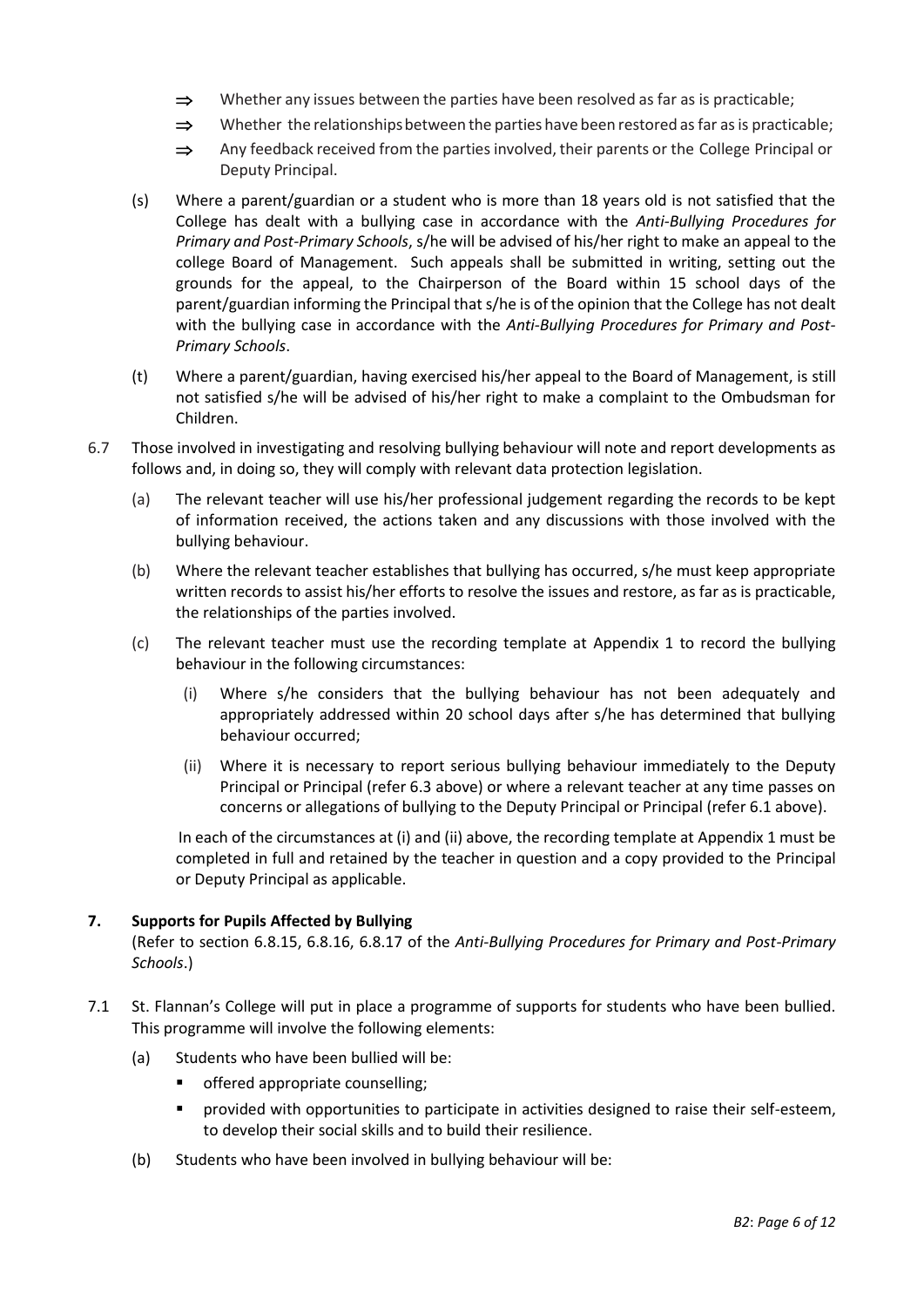- $\Rightarrow$  Whether any issues between the parties have been resolved as far as is practicable;
- $\Rightarrow$  Whether the relationships between the parties have been restored as far as is practicable;
- $\Rightarrow$  Any feedback received from the parties involved, their parents or the College Principal or Deputy Principal.
- (s) Where a parent/guardian or a student who is more than 18 years old is not satisfied that the College has dealt with a bullying case in accordance with the *[Anti-Bullying Procedures for](http://www.education.ie/en/Publications/Policy-Reports/Anti-Bullying-Procedures-for-Primary-and-Post-Primary-Schools.pdf)  [Primary and Post-Primary Schools](http://www.education.ie/en/Publications/Policy-Reports/Anti-Bullying-Procedures-for-Primary-and-Post-Primary-Schools.pdf)*, s/he will be advised of his/her right to make an appeal to the college Board of Management. Such appeals shall be submitted in writing, setting out the grounds for the appeal, to the Chairperson of the Board within 15 school days of the parent/guardian informing the Principal that s/he is of the opinion that the College has not dealt with the bullying case in accordance with the *[Anti-Bullying Procedures for Primary and Post-](http://www.education.ie/en/Publications/Policy-Reports/Anti-Bullying-Procedures-for-Primary-and-Post-Primary-Schools.pdf)[Primary Schools](http://www.education.ie/en/Publications/Policy-Reports/Anti-Bullying-Procedures-for-Primary-and-Post-Primary-Schools.pdf)*.
- (t) Where a parent/guardian, having exercised his/her appeal to the Board of Management, is still not satisfied s/he will be advised of his/her right to make a complaint to the Ombudsman for Children.
- 6.7 Those involved in investigating and resolving bullying behaviour will note and report developments as follows and, in doing so, they will comply with relevant data protection legislation.
	- (a) The relevant teacher will use his/her professional judgement regarding the records to be kept of information received, the actions taken and any discussions with those involved with the bullying behaviour.
	- (b) Where the relevant teacher establishes that bullying has occurred, s/he must keep appropriate written records to assist his/her efforts to resolve the issues and restore, as far as is practicable, the relationships of the parties involved.
	- (c) The relevant teacher must use the recording template at Appendix 1 to record the bullying behaviour in the following circumstances:
		- (i) Where s/he considers that the bullying behaviour has not been adequately and appropriately addressed within 20 school days after s/he has determined that bullying behaviour occurred;
		- (ii) Where it is necessary to report serious bullying behaviour immediately to the Deputy Principal or Principal (refer 6.3 above) or where a relevant teacher at any time passes on concerns or allegations of bullying to the Deputy Principal or Principal (refer 6.1 above).

 In each of the circumstances at (i) and (ii) above, the recording template at Appendix 1 must be completed in full and retained by the teacher in question and a copy provided to the Principal or Deputy Principal as applicable.

## **7. Supports for Pupils Affected by Bullying**

(Refer to section 6.8.15, 6.8.16, 6.8.17 of the *Anti-Bullying Procedures for Primary and Post-Primary Schools*.)

- 7.1 St. Flannan's College will put in place a programme of supports for students who have been bullied. This programme will involve the following elements:
	- (a) Students who have been bullied will be:
		- offered appropriate counselling;
		- **•** provided with opportunities to participate in activities designed to raise their self-esteem, to develop their social skills and to build their resilience.
	- (b) Students who have been involved in bullying behaviour will be: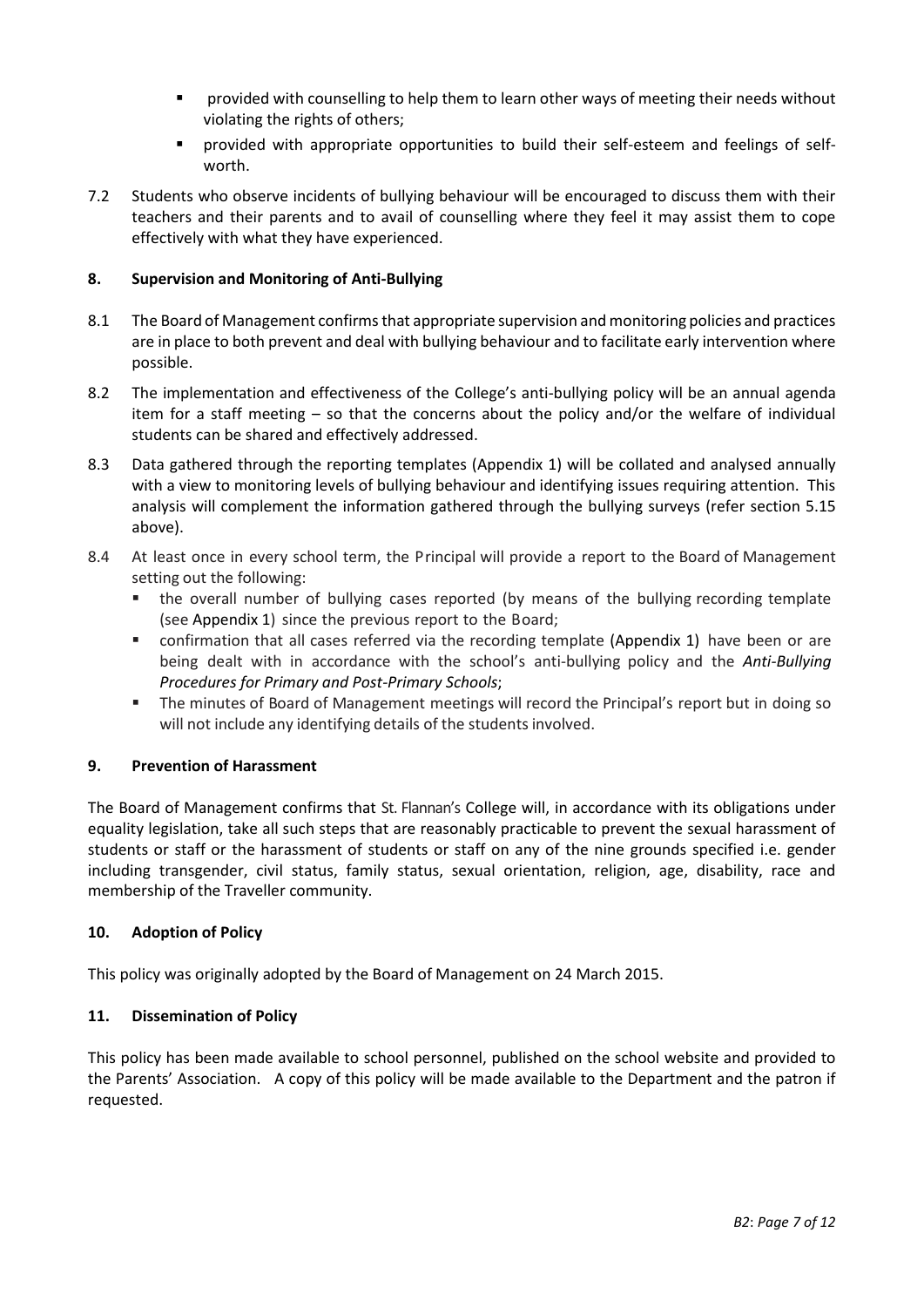- provided with counselling to help them to learn other ways of meeting their needs without violating the rights of others;
- provided with appropriate opportunities to build their self-esteem and feelings of selfworth.
- 7.2 Students who observe incidents of bullying behaviour will be encouraged to discuss them with their teachers and their parents and to avail of counselling where they feel it may assist them to cope effectively with what they have experienced.

#### **8. Supervision and Monitoring of Anti-Bullying**

- 8.1 The Board of Management confirms that appropriate supervision and monitoring policies and practices are in place to both prevent and deal with bullying behaviour and to facilitate early intervention where possible.
- 8.2 The implementation and effectiveness of the College's anti-bullying policy will be an annual agenda item for a staff meeting – so that the concerns about the policy and/or the welfare of individual students can be shared and effectively addressed.
- 8.3 Data gathered through the reporting templates (Appendix 1) will be collated and analysed annually with a view to monitoring levels of bullying behaviour and identifying issues requiring attention. This analysis will complement the information gathered through the bullying surveys (refer section 5.15 above).
- 8.4 At least once in every school term, the Principal will provide a report to the Board of Management setting out the following:
	- the overall number of bullying cases reported (by means of the bullying recording template (see Appendix 1) since the previous report to the Board;
	- confirmation that all cases referred via the recording template (Appendix 1) have been or are being dealt with in accordance with the school's anti-bullying policy and the *[Anti-Bullying](http://www.education.ie/en/Publications/Policy-Reports/Anti-Bullying-Procedures-for-Primary-and-Post-Primary-Schools.pdf)  [Procedures for Primary and Post-Primary Schools](http://www.education.ie/en/Publications/Policy-Reports/Anti-Bullying-Procedures-for-Primary-and-Post-Primary-Schools.pdf)*;
	- The minutes of Board of Management meetings will record the Principal's report but in doing so will not include any identifying details of the students involved.

#### **9. Prevention of Harassment**

The Board of Management confirms that St. Flannan's College will, in accordance with its obligations under equality legislation, take all such steps that are reasonably practicable to prevent the sexual harassment of students or staff or the harassment of students or staff on any of the nine grounds specified i.e. gender including transgender, civil status, family status, sexual orientation, religion, age, disability, race and membership of the Traveller community.

#### **10. Adoption of Policy**

This policy was originally adopted by the Board of Management on 24 March 2015.

#### **11. Dissemination of Policy**

This policy has been made available to school personnel, published on the school website and provided to the Parents' Association. A copy of this policy will be made available to the Department and the patron if requested.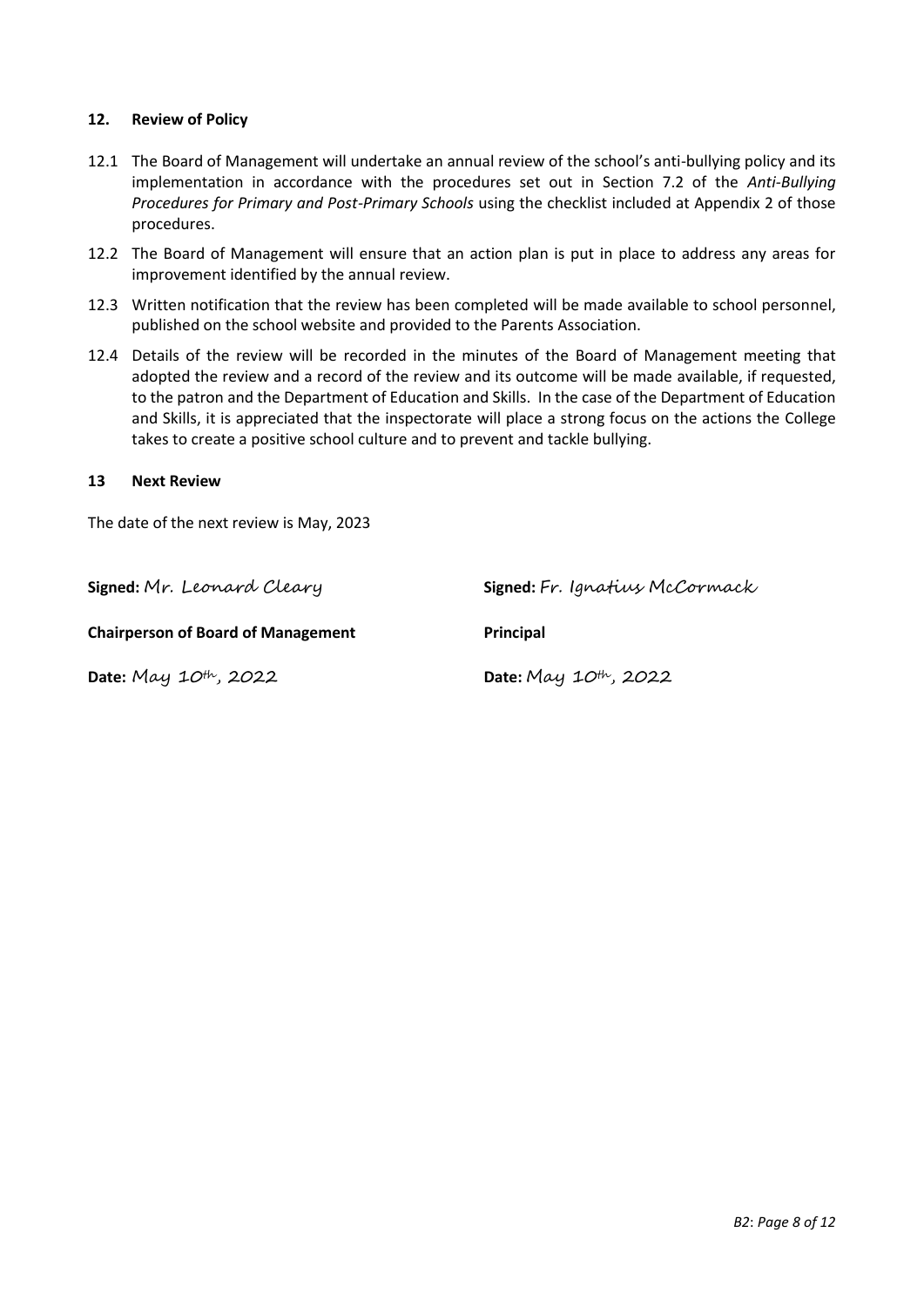#### **12. Review of Policy**

- 12.1 The Board of Management will undertake an annual review of the school's anti-bullying policy and its implementation in accordance with the procedures set out in Section 7.2 of the *[Anti-Bullying](http://www.education.ie/en/Publications/Policy-Reports/Anti-Bullying-Procedures-for-Primary-and-Post-Primary-Schools.pdf)  [Procedures for Primary and Post-Primary Schools](http://www.education.ie/en/Publications/Policy-Reports/Anti-Bullying-Procedures-for-Primary-and-Post-Primary-Schools.pdf)* using the checklist included at Appendix 2 of those procedures.
- 12.2 The Board of Management will ensure that an action plan is put in place to address any areas for improvement identified by the annual review.
- 12.3 Written notification that the review has been completed will be made available to school personnel, published on the school website and provided to the Parents Association.
- 12.4 Details of the review will be recorded in the minutes of the Board of Management meeting that adopted the review and a record of the review and its outcome will be made available, if requested, to the patron and the Department of Education and Skills. In the case of the Department of Education and Skills, it is appreciated that the inspectorate will place a strong focus on the actions the College takes to create a positive school culture and to prevent and tackle bullying.

#### **13 Next Review**

The date of the next review is May, 2023

**Chairperson of Board of Management Principal** 

**Date:** May 10th, 2022 **Date:** May 10th, 2022

**Signed:** Mr. Leonard Cleary **Signed:** Fr. Ignatius McCormack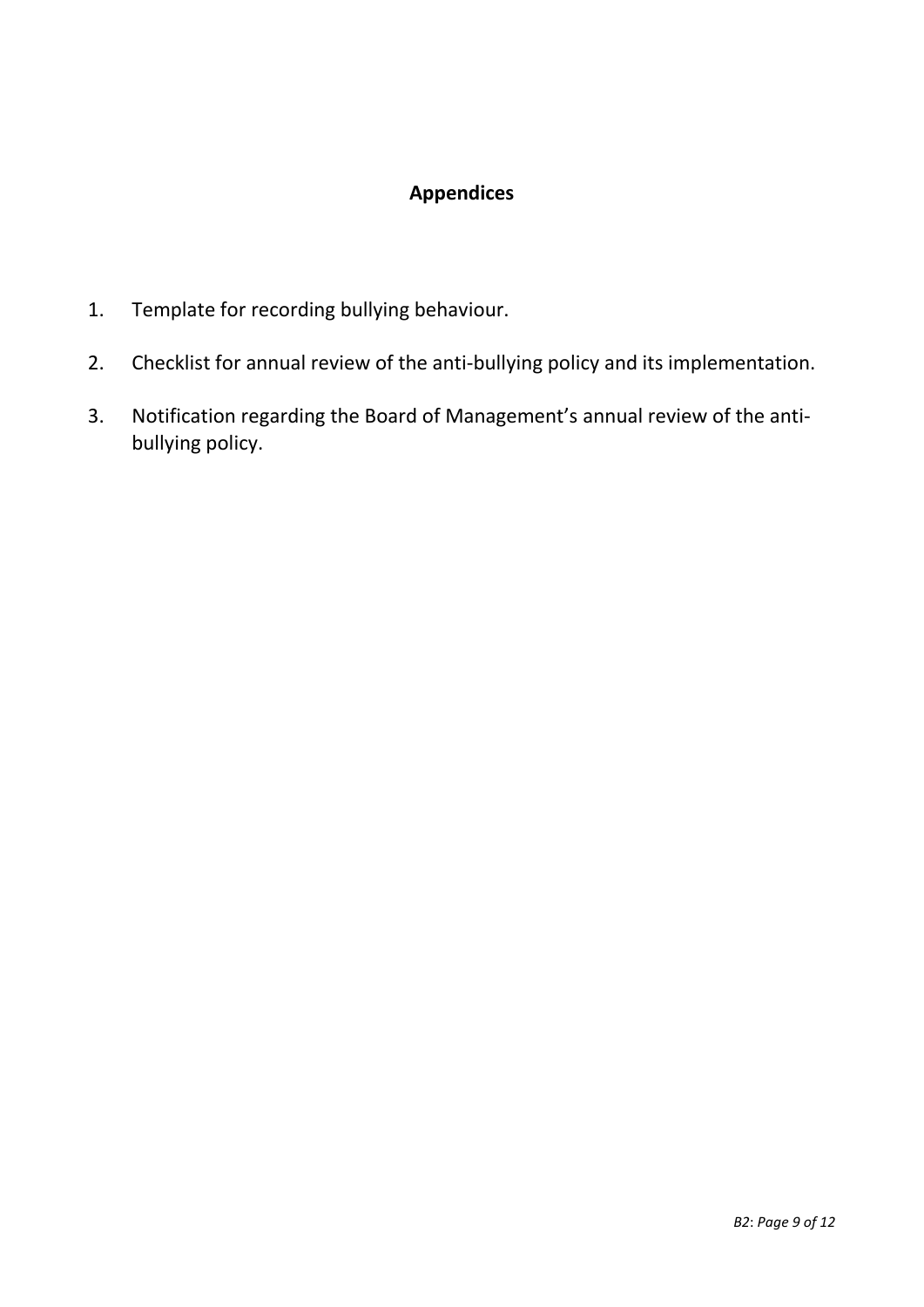# **Appendices**

- 1. Template for recording bullying behaviour.
- 2. Checklist for annual review of the anti-bullying policy and its implementation.
- 3. Notification regarding the Board of Management's annual review of the antibullying policy.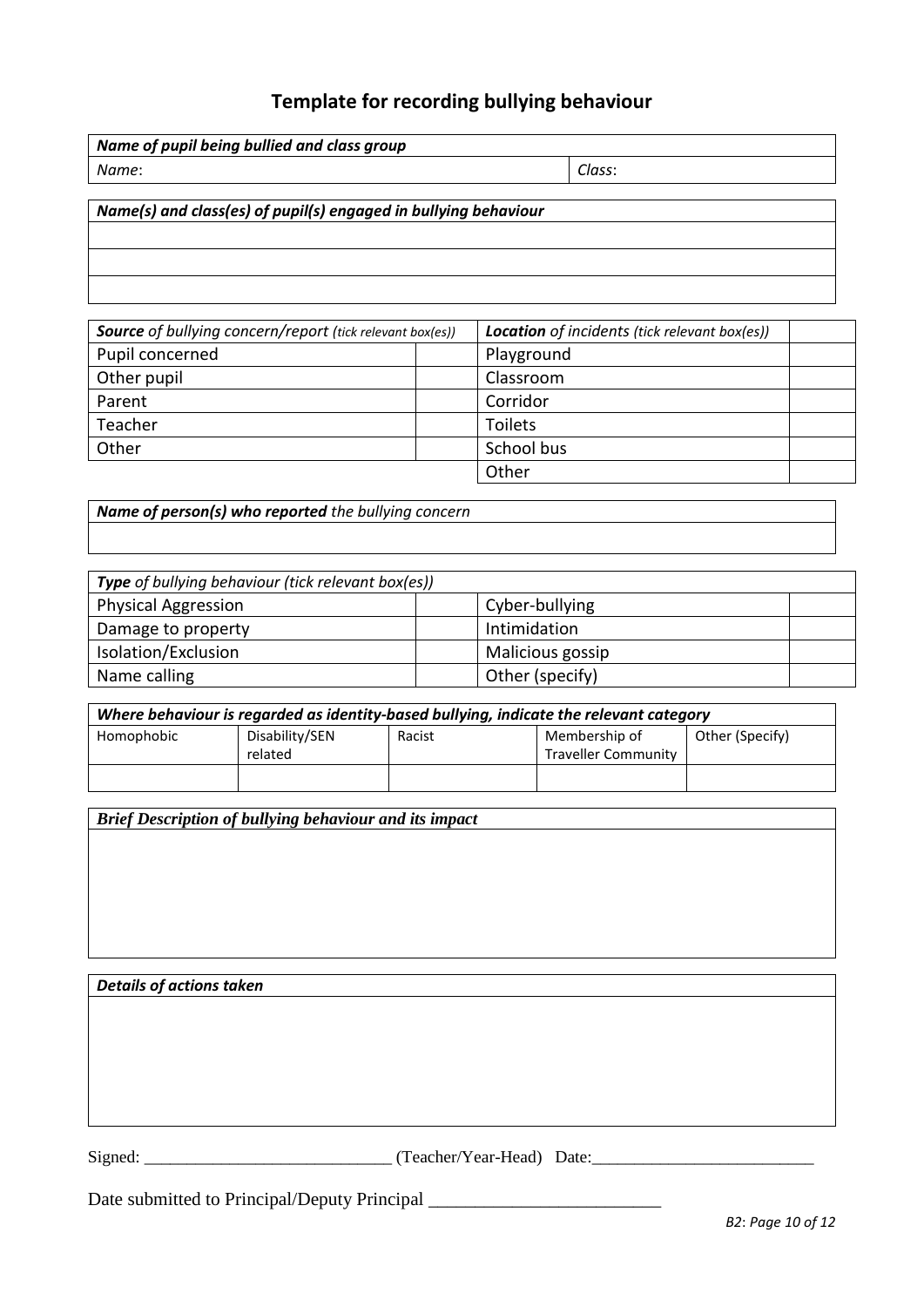# **Template for recording bullying behaviour**

| Name of pupil being bullied and class group |        |
|---------------------------------------------|--------|
| Name:                                       | Class: |
|                                             |        |

#### *Name(s) and class(es) of pupil(s) engaged in bullying behaviour*

*Source of bullying concern/report (tick relevant box(es)) Location of incidents (tick relevant box(es))* Pupil concerned and playground Other pupil and a control of the classroom control of the classroom of the classroom of the classroom of the classroom of the classroom of the classroom of the classroom of the classroom of the classroom of the classroom o Parent Parent Parent Corridor Teacher Teacher Toilets Other School business and the School business and School business and School business Other

*Name of person(s) who reported the bullying concern*

| Type of bullying behaviour (tick relevant box(es)) |                  |  |  |  |
|----------------------------------------------------|------------------|--|--|--|
| <b>Physical Aggression</b>                         | Cyber-bullying   |  |  |  |
| Damage to property                                 | Intimidation     |  |  |  |
| Isolation/Exclusion                                | Malicious gossip |  |  |  |
| Name calling                                       | Other (specify)  |  |  |  |

| Where behaviour is regarded as identity-based bullying, indicate the relevant category |                           |        |                                             |                 |  |
|----------------------------------------------------------------------------------------|---------------------------|--------|---------------------------------------------|-----------------|--|
| Homophobic                                                                             | Disability/SEN<br>related | Racist | Membership of<br><b>Traveller Community</b> | Other (Specify) |  |
|                                                                                        |                           |        |                                             |                 |  |

*Brief Description of bullying behaviour and its impact*

*Details of actions taken*

Signed: \_\_\_\_\_\_\_\_\_\_\_\_\_\_\_\_\_\_\_\_\_\_\_\_\_\_\_\_\_ (Teacher/Year-Head) Date:\_\_\_\_\_\_\_\_\_\_\_\_\_\_\_\_\_\_\_\_\_\_\_\_\_\_

Date submitted to Principal/Deputy Principal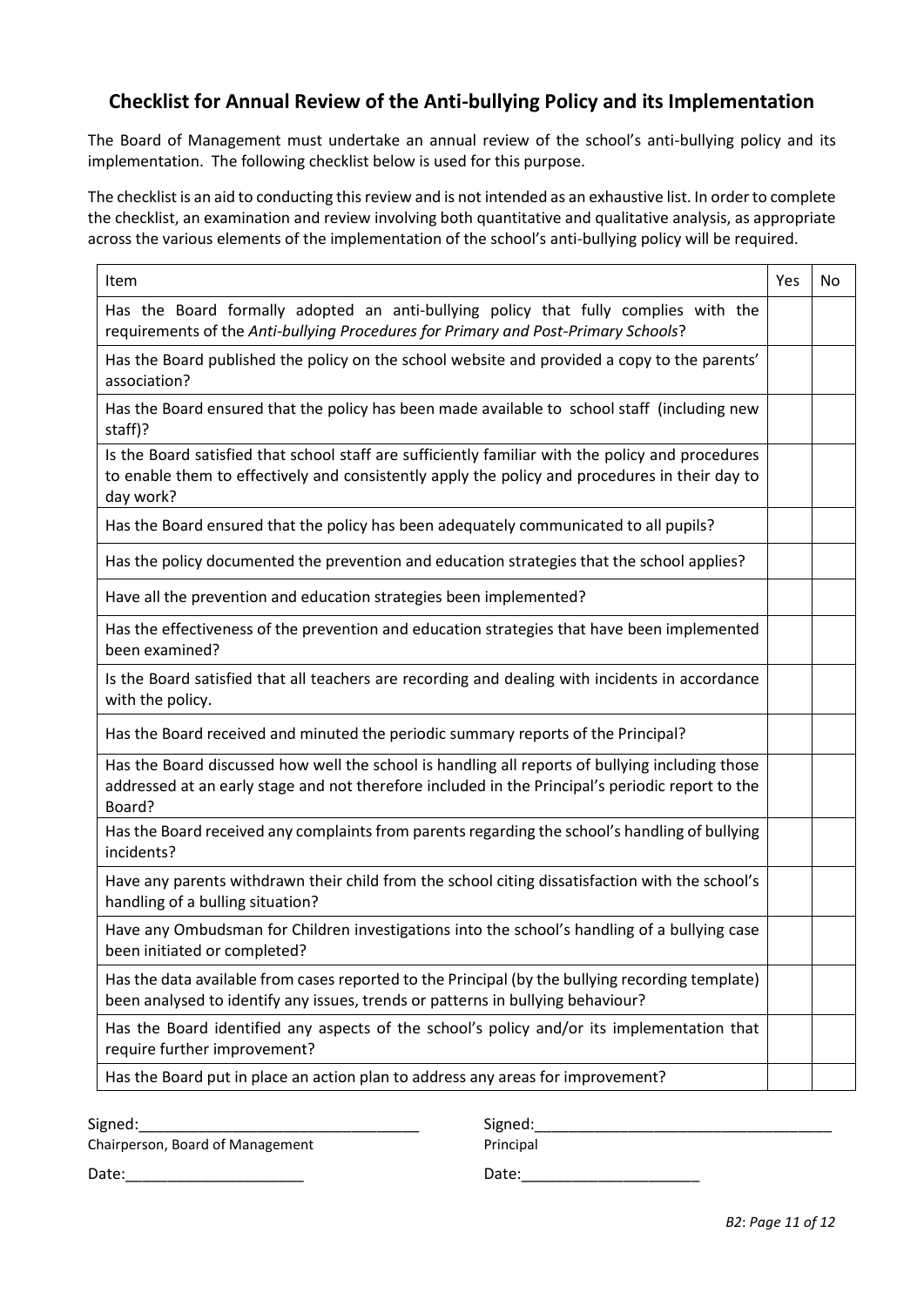# **Checklist for Annual Review of the Anti-bullying Policy and its Implementation**

The Board of Management must undertake an annual review of the school's anti-bullying policy and its implementation. The following checklist below is used for this purpose.

The checklist is an aid to conducting this review and is not intended as an exhaustive list. In order to complete the checklist, an examination and review involving both quantitative and qualitative analysis, as appropriate across the various elements of the implementation of the school's anti-bullying policy will be required.

| Item                                                                                                                                                                                                             | Yes | No |
|------------------------------------------------------------------------------------------------------------------------------------------------------------------------------------------------------------------|-----|----|
| Has the Board formally adopted an anti-bullying policy that fully complies with the<br>requirements of the Anti-bullying Procedures for Primary and Post-Primary Schools?                                        |     |    |
| Has the Board published the policy on the school website and provided a copy to the parents'<br>association?                                                                                                     |     |    |
| Has the Board ensured that the policy has been made available to school staff (including new<br>staff)?                                                                                                          |     |    |
| Is the Board satisfied that school staff are sufficiently familiar with the policy and procedures<br>to enable them to effectively and consistently apply the policy and procedures in their day to<br>day work? |     |    |
| Has the Board ensured that the policy has been adequately communicated to all pupils?                                                                                                                            |     |    |
| Has the policy documented the prevention and education strategies that the school applies?                                                                                                                       |     |    |
| Have all the prevention and education strategies been implemented?                                                                                                                                               |     |    |
| Has the effectiveness of the prevention and education strategies that have been implemented<br>been examined?                                                                                                    |     |    |
| Is the Board satisfied that all teachers are recording and dealing with incidents in accordance<br>with the policy.                                                                                              |     |    |
| Has the Board received and minuted the periodic summary reports of the Principal?                                                                                                                                |     |    |
| Has the Board discussed how well the school is handling all reports of bullying including those<br>addressed at an early stage and not therefore included in the Principal's periodic report to the<br>Board?    |     |    |
| Has the Board received any complaints from parents regarding the school's handling of bullying<br>incidents?                                                                                                     |     |    |
| Have any parents withdrawn their child from the school citing dissatisfaction with the school's<br>handling of a bulling situation?                                                                              |     |    |
| Have any Ombudsman for Children investigations into the school's handling of a bullying case<br>been initiated or completed?                                                                                     |     |    |
| Has the data available from cases reported to the Principal (by the bullying recording template)<br>been analysed to identify any issues, trends or patterns in bullying behaviour?                              |     |    |
| Has the Board identified any aspects of the school's policy and/or its implementation that<br>require further improvement?                                                                                       |     |    |
| Has the Board put in place an action plan to address any areas for improvement?                                                                                                                                  |     |    |

Signed:\_\_\_\_\_\_\_\_\_\_\_\_\_\_\_\_\_\_\_\_\_\_\_\_\_\_\_\_\_\_\_\_\_ Signed:\_\_\_\_\_\_\_\_\_\_\_\_\_\_\_\_\_\_\_\_\_\_\_\_\_\_\_\_\_\_\_\_\_\_\_

Chairperson, Board of Management Principal

Date:\_\_\_\_\_\_\_\_\_\_\_\_\_\_\_\_\_\_\_\_\_ Date:\_\_\_\_\_\_\_\_\_\_\_\_\_\_\_\_\_\_\_\_\_